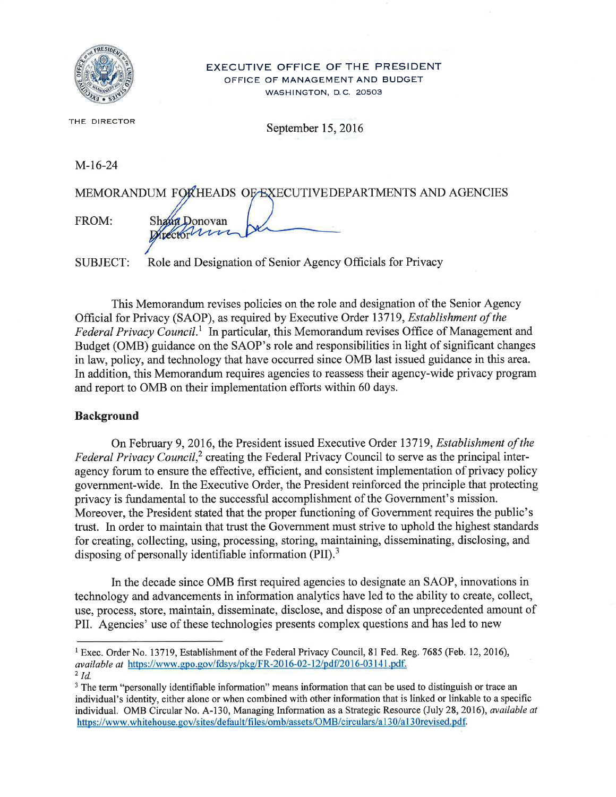

#### **EXECUTIVE OFFICE OF THE PRESIDENT** OFFICE OF MANAGEMENT AND BUDGET WASHINGTON, D.C. 20503

THE DIRECTOR

September 15, 2016

 $M-16-24$ 

| MEMORANDUM FORHEADS OF EXECUTIVE DEPARTMENTS AND AGENCIES |               |  |
|-----------------------------------------------------------|---------------|--|
|                                                           |               |  |
| FROM:                                                     | Shand Donovan |  |
|                                                           | Directorum De |  |
|                                                           |               |  |

Role and Designation of Senior Agency Officials for Privacy SUBJECT:

This Memorandum revises policies on the role and designation of the Senior Agency Official for Privacy (SAOP), as required by Executive Order 13719, Establishment of the Federal Privacy Council.<sup>1</sup> In particular, this Memorandum revises Office of Management and Budget (OMB) guidance on the SAOP's role and responsibilities in light of significant changes in law, policy, and technology that have occurred since OMB last issued guidance in this area. In addition, this Memorandum requires agencies to reassess their agency-wide privacy program and report to OMB on their implementation efforts within 60 days.

### **Background**

On February 9, 2016, the President issued Executive Order 13719, Establishment of the Federal Privacy Council,<sup>2</sup> creating the Federal Privacy Council to serve as the principal interagency forum to ensure the effective, efficient, and consistent implementation of privacy policy government-wide. In the Executive Order, the President reinforced the principle that protecting privacy is fundamental to the successful accomplishment of the Government's mission. Moreover, the President stated that the proper functioning of Government requires the public's trust. In order to maintain that trust the Government must strive to uphold the highest standards for creating, collecting, using, processing, storing, maintaining, disseminating, disclosing, and disposing of personally identifiable information  $(PII).$ <sup>3</sup>

In the decade since OMB first required agencies to designate an SAOP, innovations in technology and advancements in information analytics have led to the ability to create, collect, use, process, store, maintain, disseminate, disclose, and dispose of an unprecedented amount of PII. Agencies' use of these technologies presents complex questions and has led to new

<sup>&</sup>lt;sup>1</sup> Exec. Order No. 13719, Establishment of the Federal Privacy Council, 81 Fed. Reg. 7685 (Feb. 12, 2016), available at https://www.gpo.gov/fdsys/pkg/FR-2016-02-12/pdf/2016-03141.pdf.

 $2$  Id.

<sup>&</sup>lt;sup>3</sup> The term "personally identifiable information" means information that can be used to distinguish or trace an individual's identity, either alone or when combined with other information that is linked or linkable to a specific individual. OMB Circular No. A-130, Managing Information as a Strategic Resource (July 28, 2016), available at https://www.whitehouse.gov/sites/default/files/omb/assets/OMB/circulars/a130/a130revised.pdf.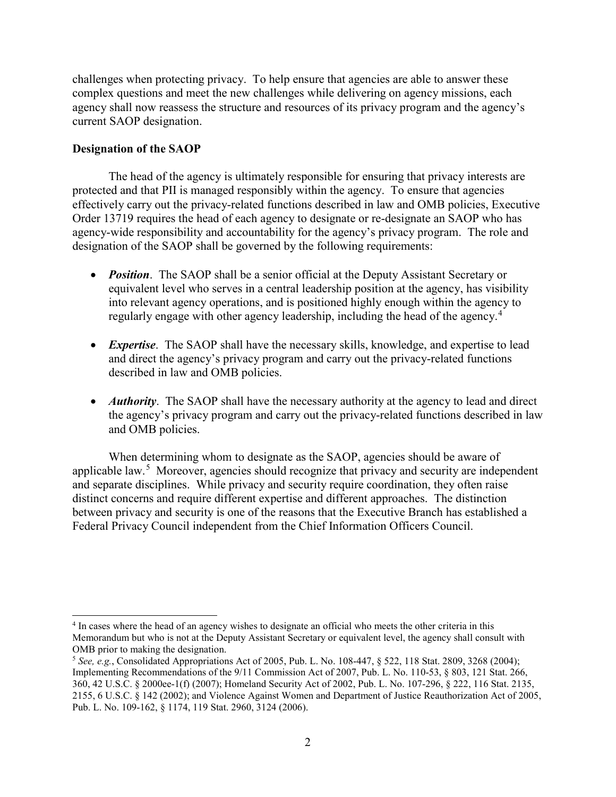challenges when protecting privacy. To help ensure that agencies are able to answer these complex questions and meet the new challenges while delivering on agency missions, each agency shall now reassess the structure and resources of its privacy program and the agency's current SAOP designation.

## **Designation of the SAOP**

The head of the agency is ultimately responsible for ensuring that privacy interests are protected and that PII is managed responsibly within the agency. To ensure that agencies effectively carry out the privacy-related functions described in law and OMB policies, Executive Order 13719 requires the head of each agency to designate or re-designate an SAOP who has agency-wide responsibility and accountability for the agency's privacy program. The role and designation of the SAOP shall be governed by the following requirements:

- *Position*. The SAOP shall be a senior official at the Deputy Assistant Secretary or equivalent level who serves in a central leadership position at the agency, has visibility into relevant agency operations, and is positioned highly enough within the agency to regularly engage with other agency leadership, including the head of the agency.<sup>[4](#page-1-0)</sup>
- *Expertise*. The SAOP shall have the necessary skills, knowledge, and expertise to lead and direct the agency's privacy program and carry out the privacy-related functions described in law and OMB policies.
- *Authority*. The SAOP shall have the necessary authority at the agency to lead and direct the agency's privacy program and carry out the privacy-related functions described in law and OMB policies.

When determining whom to designate as the SAOP, agencies should be aware of applicable law.<sup>[5](#page-1-1)</sup> Moreover, agencies should recognize that privacy and security are independent and separate disciplines. While privacy and security require coordination, they often raise distinct concerns and require different expertise and different approaches. The distinction between privacy and security is one of the reasons that the Executive Branch has established a Federal Privacy Council independent from the Chief Information Officers Council.

<span id="page-1-0"></span> $\overline{a}$ <sup>4</sup> In cases where the head of an agency wishes to designate an official who meets the other criteria in this Memorandum but who is not at the Deputy Assistant Secretary or equivalent level, the agency shall consult with OMB prior to making the designation.

<span id="page-1-1"></span><sup>5</sup> *See, e.g.*, Consolidated Appropriations Act of 2005, Pub. L. No. 108-447, § 522, 118 Stat. 2809, 3268 (2004); Implementing Recommendations of the 9/11 Commission Act of 2007, Pub. L. No. 110-53, § 803, 121 Stat. 266, 360, 42 U.S.C. § 2000ee-1(f) (2007); Homeland Security Act of 2002, Pub. L. No. 107-296, § 222, 116 Stat. 2135, 2155, 6 U.S.C. § 142 (2002); and Violence Against Women and Department of Justice Reauthorization Act of 2005, Pub. L. No. 109-162, § 1174, 119 Stat. 2960, 3124 (2006).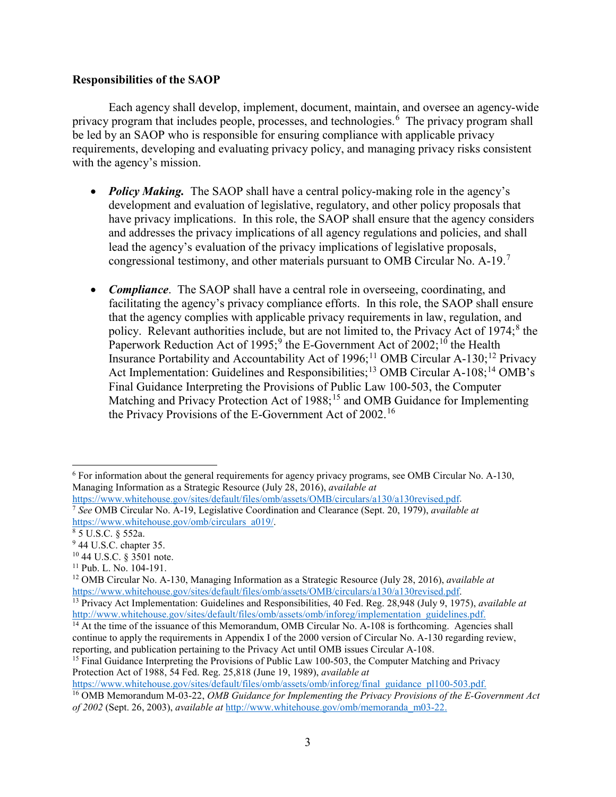### **Responsibilities of the SAOP**

Each agency shall develop, implement, document, maintain, and oversee an agency-wide privacy program that includes people, processes, and technologies.<sup>[6](#page-2-0)</sup> The privacy program shall be led by an SAOP who is responsible for ensuring compliance with applicable privacy requirements, developing and evaluating privacy policy, and managing privacy risks consistent with the agency's mission.

- *Policy Making.* The SAOP shall have a central policy-making role in the agency's development and evaluation of legislative, regulatory, and other policy proposals that have privacy implications. In this role, the SAOP shall ensure that the agency considers and addresses the privacy implications of all agency regulations and policies, and shall lead the agency's evaluation of the privacy implications of legislative proposals, congressional testimony, and other materials pursuant to OMB Circular No. A-19.[7](#page-2-1)
- *Compliance*. The SAOP shall have a central role in overseeing, coordinating, and facilitating the agency's privacy compliance efforts. In this role, the SAOP shall ensure that the agency complies with applicable privacy requirements in law, regulation, and policy. Relevant authorities include, but are not limited to, the Privacy Act of 1974;<sup>[8](#page-2-2)</sup> the Paperwork Reduction Act of 1[9](#page-2-3)95;<sup>9</sup> the E-Government Act of 2002;<sup>[10](#page-2-4)</sup> the Health Insurance Portability and Accountability Act of 1996;<sup>[11](#page-2-5)</sup> OMB Circular A-130;<sup>[12](#page-2-6)</sup> Privacy Act Implementation: Guidelines and Responsibilities;<sup>[13](#page-2-7)</sup> OMB Circular A-108;<sup>[14](#page-2-8)</sup> OMB's Final Guidance Interpreting the Provisions of Public Law 100-503, the Computer Matching and Privacy Protection Act of 1988;<sup>15</sup> and OMB Guidance for Implementing the Privacy Provisions of the E-Government Act of 2002.[16](#page-2-10)

<sup>[7](https://www.whitehouse.gov/sites/default/files/omb/assets/OMB/circulars/a130/a130revised.pdf)</sup> See OMB Circular No. A-19, Legislative Coordination and Clearance (Sept. 20, 1979), *available at* 

<span id="page-2-0"></span> $\overline{a}$ <sup>6</sup> For information about the general requirements for agency privacy programs, see OMB Circular No. A-130, Managing Information as a Strategic Resource (July 28, 2016), *available at*<br>https://www.whitehouse.gov/sites/default/files/omb/assets/OMB/circulars/a130/a130revised.pdf.

<span id="page-2-1"></span>[https://www.whitehouse.gov/omb/circulars\\_a019/.](https://www.whitehouse.gov/omb/circulars_a019/)<br><sup>8</sup> 5 U.S.C. § 552a.

<span id="page-2-3"></span><span id="page-2-2"></span><sup>&</sup>lt;sup>9</sup> 44 U.S.C. chapter 35.

<span id="page-2-4"></span><sup>10</sup> 44 U.S.C. § 3501 note.

<span id="page-2-5"></span><sup>11</sup> Pub. L. No. 104-191.

<span id="page-2-6"></span><sup>12</sup> OMB Circular No. A-130, Managing Information as a Strategic Resource (July 28, 2016), *available at* [https://www.whitehouse.gov/sites/default/files/omb/assets/OMB/circulars/a130/a130revised.pdf.](https://www.whitehouse.gov/sites/default/files/omb/assets/OMB/circulars/a130/a130revised.pdf) 13 Privacy Act Implementation: Guidelines and Responsibilities, 40 Fed. Reg. 28,948 (July 9, 1975), *available at*

<span id="page-2-7"></span>[http://www.whitehouse.gov/sites/default/files/omb/assets/omb/inforeg/implementation\\_guidelines.pdf.](http://www.whitehouse.gov/sites/default/files/omb/assets/omb/inforeg/implementation_guidelines.pdf)

<span id="page-2-8"></span><sup>&</sup>lt;sup>14</sup> At the time of the issuance of this Memorandum, OMB Circular No. A-108 is forthcoming. Agencies shall continue to apply the requirements in Appendix I of the 2000 version of Circular No. A-130 regarding review, reporting, and publication pertaining to the Privacy Act until OMB issues Circular A-108.

<span id="page-2-9"></span><sup>&</sup>lt;sup>15</sup> Final Guidance Interpreting the Provisions of Public Law 100-503, the Computer Matching and Privacy Protection Act of 1988, 54 Fed. Reg. 25,818 (June 19, 1989), *available at*

<span id="page-2-10"></span><sup>&</sup>lt;sup>16</sup> OMB Memorandum M-03-22, *OMB Guidance for Implementing the Privacy Provisions of the E-Government Act of 2002* (Sept. 26, 2003), *available at* [http://www.whitehouse.gov/omb/memoranda\\_m03-22.](http://www.whitehouse.gov/omb/memoranda_m03-22)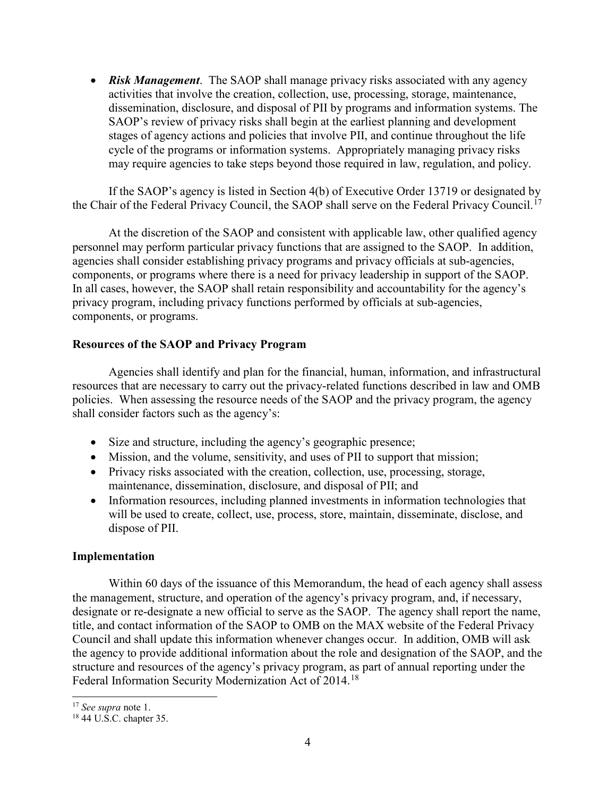• *Risk Management*. The SAOP shall manage privacy risks associated with any agency activities that involve the creation, collection, use, processing, storage, maintenance, dissemination, disclosure, and disposal of PII by programs and information systems. The SAOP's review of privacy risks shall begin at the earliest planning and development stages of agency actions and policies that involve PII, and continue throughout the life cycle of the programs or information systems. Appropriately managing privacy risks may require agencies to take steps beyond those required in law, regulation, and policy.

If the SAOP's agency is listed in Section 4(b) of Executive Order 13719 or designated by the Chair of the Federal Privacy Council, the SAOP shall serve on the Federal Privacy Council.[17](#page-3-0)

At the discretion of the SAOP and consistent with applicable law, other qualified agency personnel may perform particular privacy functions that are assigned to the SAOP. In addition, agencies shall consider establishing privacy programs and privacy officials at sub-agencies, components, or programs where there is a need for privacy leadership in support of the SAOP. In all cases, however, the SAOP shall retain responsibility and accountability for the agency's privacy program, including privacy functions performed by officials at sub-agencies, components, or programs.

# **Resources of the SAOP and Privacy Program**

Agencies shall identify and plan for the financial, human, information, and infrastructural resources that are necessary to carry out the privacy-related functions described in law and OMB policies. When assessing the resource needs of the SAOP and the privacy program, the agency shall consider factors such as the agency's:

- Size and structure, including the agency's geographic presence;
- Mission, and the volume, sensitivity, and uses of PII to support that mission;
- Privacy risks associated with the creation, collection, use, processing, storage, maintenance, dissemination, disclosure, and disposal of PII; and
- Information resources, including planned investments in information technologies that will be used to create, collect, use, process, store, maintain, disseminate, disclose, and dispose of PII.

### **Implementation**

Within 60 days of the issuance of this Memorandum, the head of each agency shall assess the management, structure, and operation of the agency's privacy program, and, if necessary, designate or re-designate a new official to serve as the SAOP. The agency shall report the name, title, and contact information of the SAOP to OMB on the MAX website of the Federal Privacy Council and shall update this information whenever changes occur. In addition, OMB will ask the agency to provide additional information about the role and designation of the SAOP, and the structure and resources of the agency's privacy program, as part of annual reporting under the Federal Information Security Modernization Act of 2014.<sup>[18](#page-3-1)</sup>

 $\overline{a}$ 

<span id="page-3-0"></span><sup>17</sup> *See supra* note 1.

<span id="page-3-1"></span><sup>18</sup> 44 U.S.C. chapter 35.